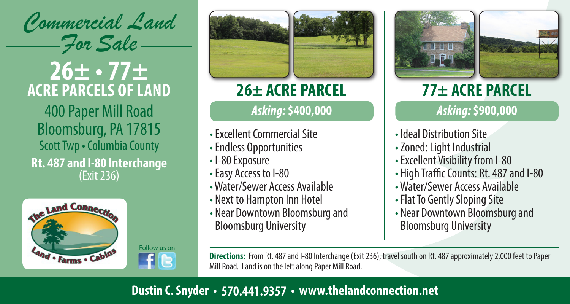

# **26± • 77± ACRE PARCELS OF LAND**

400 Paper Mill Road Bloomsburg, PA 17815 Scott Twp • Columbia County **Rt. 487 and I-80 Interchange** (Exit 236)

Follow us on

 $f_{\rm B}$ 







- Excellent Commercial Site
- Endless Opportunities
- I-80 Exposure
- Easy Access to I-80
- Water/Sewer Access Available
- Next to Hampton Inn Hotel
- Near Downtown Bloomsburg and Bloomsburg University





# **26± ACRE PARCEL 77± ACRE PARCEL**

## *Asking:* **\$400,000** *Asking:* **\$900,000**

- Ideal Distribution Site
- Zoned: Light Industrial
- Excellent Visibility from I-80
- High Traffic Counts: Rt. 487 and I-80
- Water/Sewer Access Available
- Flat To Gently Sloping Site
- Near Downtown Bloomsburg and Bloomsburg University

**Directions:** From Rt. 487 and I-80 Interchange (Exit 236), travel south on Rt. 487 approximately 2,000 feet to Paper Mill Road. Land is on the left along Paper Mill Road.

## **Dustin C. Snyder • 570.441.9357 • www.thelandconnection.net**